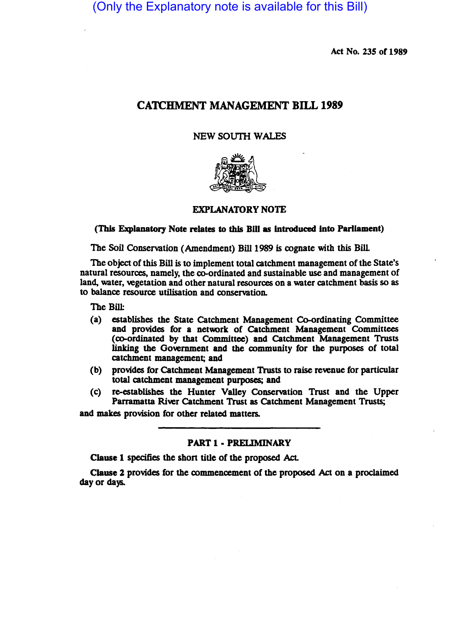(Only the Explanatory note is available for this Bill)

Act No. 235 of 1989

# CATCHMENT MANAGEMENT BILL 1989

NEW SOUTH WALES



EXPLANATORY NOTE

(This Explanatory Note relates to this Bill as introduced into Parliament)

The Soil Conservation (Amendment) Bill 1989 is cognate with this Bill

The object of this Bill is to implement total catchment management of the State's natural resources, namely, the co-ordinated and sustainable use and management of land, water, vegetation and other natural resources on a water catchment basis so as to balance resource utilisation and conservation.

The Bill:

- (a) establishes the State Catchment Management Co-ordinating Committee and provides for a network of Catchment Management Committees (co-ordinated by that Committee) and Catchment Management Trusts linking the Government and the community for the purposes of total catchment management; and
- (b) provides for Catchment Management Trusts to raise revenue for panicular total catchment management purposes; and
- (c) re-establishes the Hunter Valley Conservation Trust and the Upper Parramatta River Catchment Trust as Catchment Management Trusts;

and makes provision for other related matters.

PART 1 - PRELIMINARY

Clause 1 specifies the shon title of the proposed Act.

Clause *Z* provides for the commencement of the proposed Act on a proclaimed day or days.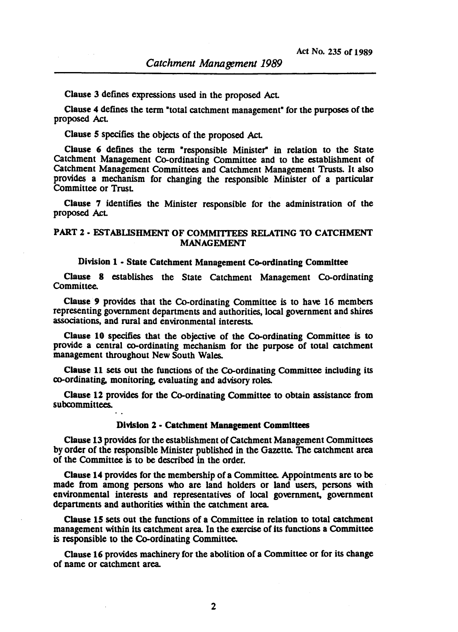Clause 3 defines expressions used in the proposed Act.

Clause 4 defines the term "total catchment management" for the purposes of the proposed Act

Clause 5 specifies the objects of the proposed Act.

Clause 6 defines the term "responsible Minister" in relation to the State Catchment Management Co-ordinating Committee and to the establishment of Catchment Management Committees and Catchment Management Trusts. It also provides a mechanism for changing the responsible Minister of a particular Committee or Trust

Clause 7 identifies the Minister responsible for the administration of the proposed Act.

# PART 2 - ESTABLISHMENT OF COMMITTEES RELATING TO CATCHMENT MANAGEMENT

#### Division 1 • State Catchment Management Co-ordinating Committee

Clause 8 establishes the State Catchment Management Co-ordinating Committee.

Clause 9 provides that the Co-ordinating Committee is to have 16 members representing government departments and authorities, local government and shires associations, and rural and environmental interests.

Clause 10 specifies that the objective of the Co-ordinating Committee is to provide a central co-ordinating mechanism for the purpose of total catchment management throughout New South Wales.

Clause 11 sets out the functions of the Co-ordinating Committee including its co-ordinating. monitOring. evaluating and advisory roles.

Clause 12 provides for the Co-ordinating Committee to obtain assistance from subcommittees.

#### Division 1 • Catchment Management Committees

Clause 13 provides for the establishment of Catchment Management Committees by order of the responsible Minister published in the Gazette. The catchment area of the Committee is to be described in the order.

Clause 14 provides for the membership of a Committee. Appointments are to be made from among persons who are land holders or land users, persons with environmental interests and representatives of local government, government departments and authorities within the catchment area.

Clause 15 sets out the functions of a Committee in relation to total catchment management within its catchment area. In the exercise of its functions a Committee is responsible to the Co-ordinating Committee.

Clause 16 provides machinery for the abolition of a Committee or for its change of name or catchment area.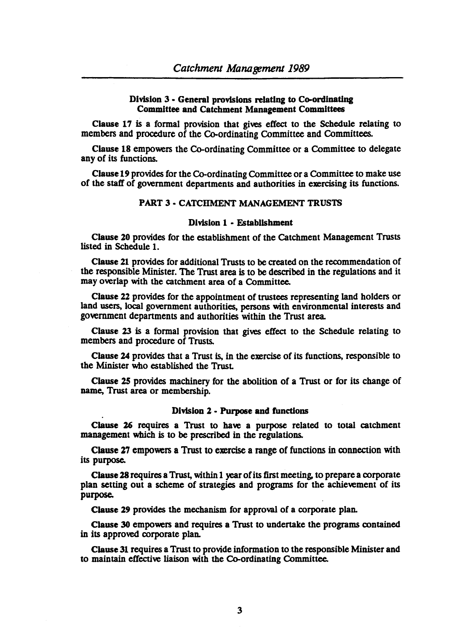## Division 3 • General provisions relating to Co-ordinating Committee and Catchment Management Committees

Clause 17 is a formal provision that gives effect to the Schedule relating to members and procedure of the Co-ordinating Committee and Committees.

Clause 18 empowers the Co-ordinating Committee or a Committee to delegate any of its functions.

Clause 19 provides for the Co-ordinating Committee or a Committee to make use of the staff of government depanments and authorities in exercising its functions.

## PART 3 • CATCHMENT MANAGEMENT TRUSTS

## Division 1 • Establishment

Clause 20 provides for the establishment of the Catchment Management Trusts listed in Schedule 1.

Clause 21 provides for additional Trusts to be created on the recommendation of the responsible Minister. The Trust area is to be described in the regulations and it may overlap with the catchment area of a Committee.

Clause 22 provides for the appointment of trustees representing land holders or land users, local government authorities, persons with environmental interests and government depanments and authorities within the Trust area.

Clause 23 is a formal provision that gives effect to the Schedule relating to members and procedure of Trusts.

Clause 14 provides that a Trust is, in the exercise of its functions, responsible to the Minister who established the Trust

Clause 15 provides machinery for the abolition of a Trust or for its change of name, Trust area or membership.

### Division 2· Purpose and functions

Clause 16 requires a Trust to have a purpose related to total catchment management which is to be prescribed in the regulations.

Clause 27 empowers a Trust to exercise a range of functions in connection with its purpose.

Clause 18 requires a Trust, within 1 year of its first meeting, to prepare a corporate plan setting out a scheme of strategies and programs for the achievement of its purpose.

Clause 29 provides the mechanism for approval of a corporate plan.

Clause 30 empowers and requires a Trust to undertake the programs contained in its approved corporate plan.

Clause 31 requires a Trust to provide information to the responsible Minister and to maintain effective liaison with the Co-ordinating Committee.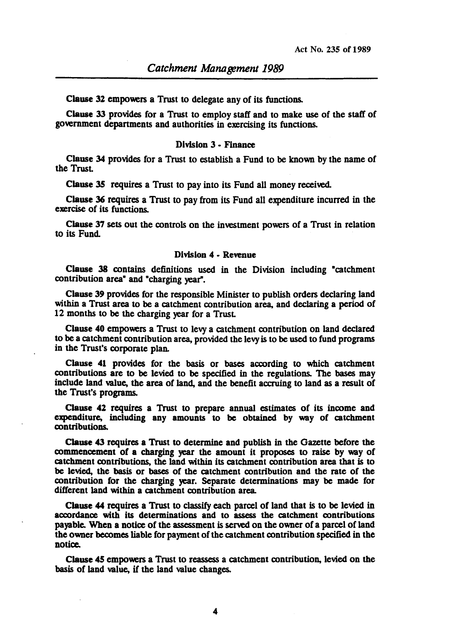Clause 32 empowers a Trust to delegate any of its functions.

Clause 33 provides for a Trust to employ staff and to make use of the staff of government depanments and authorities in exercising its functions.

## Division 3 • Finance

Clause 34 provides for a Trust to establish a Fund to be known by the name of the TrusL

Clause 35 requires a Trust to pay into its Fund all money received.

Clause 36 requires a Trust to pay from its Fund all expenditure incurred in the exercise of its functions.

Clause 37 sets out the controls on the investment powers of a Trust in relation to its Fund.

## Division 4 • ReYenue

Clause 38 contains definitions used in the Division including "catchment contribution area<sup>\*</sup> and "charging year".

Clause 39 provides for the responsible Minister to publish orders declaring land within a Trust area to be a catchment contribution area, and declaring a period of 12 months to be the charging year for a TrusL

Clause 40 empowers a Trust to levy a catchment contribution on land declared to be a catchment contribution area, provided the levy is to be used to fund programs in the Trust's corporate plan.

Clause 41 provides for the basis or bases according to which catchment contributions are to be levied to be specified in the regulations. The bases may include land value, the area of land, and the benefit accruing to land as a result of the Trust's programs.

Clause 42 requires a Trust to prepare annual estimates of its income and expenditure, including any amounts to be obtained by way of catchment contributions.

Clause 43 requires a Trust to determine and publish in the Gazette before the commencement of a charging year the amount it proposes to raise by way of catchment contributions, the land within its catchment contribution area that is to be levied, the basis or bases of the catchment contribution and the rate of the contribution for the charging year. Separate determinations may be made for different land within a catchment contribution area.

Clause 44 requires a Trust to classify each parcel of land that is to be levied in accordance with its determinations and to assess the catchment contributions payable. When a notice of the assessment is served on the owner of a parcel of land the owner becomes liable for payment of the catchment contribution specified in the notice.

Clause *4S* empowers a Trust to reassess a catchment contribution, levied on the basis of land value, if the land value changes.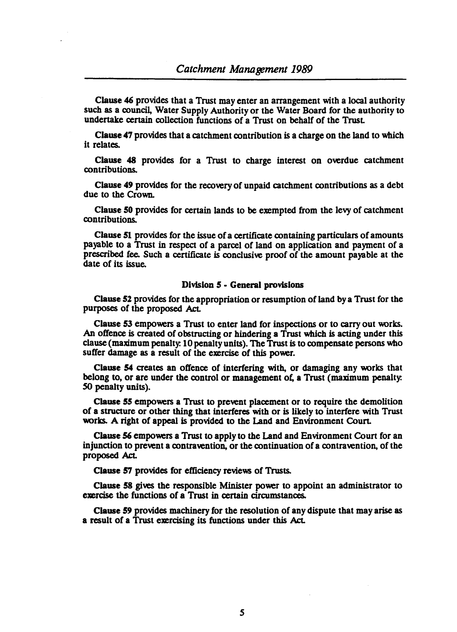Clause 46 provides that a Trust may enter an arrangement with a local authority such as a council, Water Supply Authority or the Water Board for the authority to undertake certain collection functions of a Trust on behalf of the Trust.

Clause 47 provides that a catchment contribution is a charge on the land to which it relates.

Clause 48 provides for a Trust to charge interest on overdue catchment contributions.

Clause 49 provides for the recovery of unpaid catchment contributions as a debt due to the Crown.

Clause SO provides for certain lands to be exempted from the levy of catchment contributions.

Clause 51 provides for the issue of a certificate containing particulars of amounts payable to a Trust in respect of a parcel of land on application and payment of a prescribed fee. Such a certificate is conclusive proof of the amount payable at the date of its issue.

### Division 5 • General provisions

Clause 52 provides for the appropriation or resumption of land by a Trust for the purposes of the proposed Act.

Clause 53 empowers a Trust to enter land for inspections or to carry out works. An offence is created of obstructing or hindering a Trust which is acting under this clause (maximum penalty. 10 penalty units). The Trust is to compensate persons who suffer damage as a result of the exercise of this power.

Clause 54 creates an offence of interfering with, or damaging any works that belong to, or are under the control or management of, a Trust (maximum penalty. SO penalty units).

Clause SS empowers a Trust to prevent placement or to require the demolition of a structure or other thing that interferes with or is likely to interfere with Trust works. A right of appeal is provided to the Land and Environment Court.

Clause 56 empowers a Trust to apply to the Land and Environment Court for an injunction to prevent a contravention, or the continuation of a contravention, of the proposed Act.

Clause 57 provides for efficiency reviews of Trusts.

Clause 58 gives the responsible Minister power to appoint an administrator to exercise the functions of a Trust in certain circumstances.

Clause 59 provides machinery for the resolution of any dispute that may arise as a result of a Trust exercising its functions under this Act.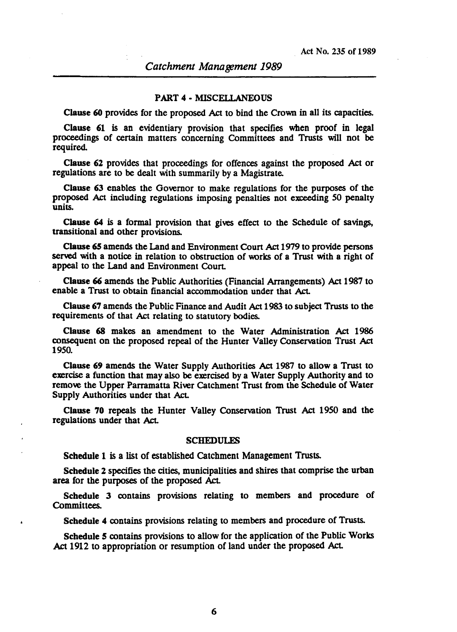#### PART 4 • MISCELLANEOUS

Clause 60 provides for the proposed Act to bind the Crown in all its capacities.

Clause 61 is an evidentiary provision that specifies when proof in legal proceedings of certain matters concerning Committees and Trusts will not be required.

Clause 62 provides that proceedings for offences against the proposed Act or regulations are to be dealt with summarily by a Magistrate.

Clause 63 enables the Governor to make regulations for the purposes of the proposed Act including regulations imposing penalties not exceeding SO penalty units.

Clause 64 is a formal provision that gives effect to the Schedule of savings. transitional and other provisions.

Clause 65 amends the Land and Environment Coun Act 1979 to provide persons served with a notice in relation to obstruction of works of a Trust with a right of appeal to the Land and Environment Court.

Clause 66 amends the Public Authorities (Financial Arrangements) Act 1987 to enable a Trust to obtain financial accommodation under that Act.

Clause 67 amends the Public Finance and Audit Act 1983 to subject Trusts to the requirements of that Act relating to statutory bodies.

Clause 68 makes an amendment to the Water Administration Act 1986 consequent on the proposed repeal of the Hunter Valley Conservation Trust Act *1950.* 

Clause 69 amends the Water Supply Authorities Act 1987 to allow a Trust to exercise a function that may also be exercised by a Water Supply Authority and to remove the Upper Parramatta River Catchment Trust from the Schedule of Water Supply Authorities under that Act.

Clause 70 repeals the Hunter Valley Conservation Trust Act *1950* and the regulations under that Act.

#### SCHEDULES

Schedule 1 is a list of established Catchment Management Trusts.

Schedule 2 specifies the cities, municipalities and shires that comprise the urban area for the purposes of the proposed Act.

Schedule 3 contains provisions relating to members and procedure of Committees.

Schedule 4 contains provisions relating to members and procedure of Trusts.

Schedule 5 contains provisions to allow for the application of the Public Works Act 1912 to appropriation or resumption of land under the proposed Act.